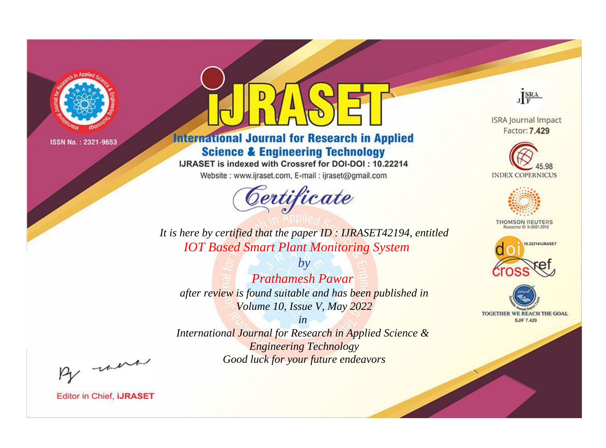

# **International Journal for Research in Applied Science & Engineering Technology**

IJRASET is indexed with Crossref for DOI-DOI: 10.22214

Website: www.ijraset.com, E-mail: ijraset@gmail.com



JERA

**ISRA Journal Impact** Factor: 7.429





**THOMSON REUTERS** 



TOGETHER WE REACH THE GOAL **SJIF 7.429** 

*It is here by certified that the paper ID : IJRASET42194, entitled IOT Based Smart Plant Monitoring System*

*Prathamesh Pawar after review is found suitable and has been published in Volume 10, Issue V, May 2022*

*by*

*in* 

*International Journal for Research in Applied Science & Engineering Technology Good luck for your future endeavors*

By morn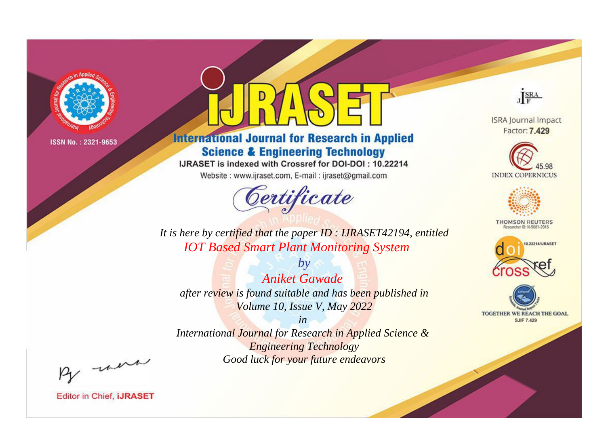

# **International Journal for Research in Applied Science & Engineering Technology**

IJRASET is indexed with Crossref for DOI-DOI: 10.22214

Website: www.ijraset.com, E-mail: ijraset@gmail.com



JERA

**ISRA Journal Impact** Factor: 7.429





**THOMSON REUTERS** 



TOGETHER WE REACH THE GOAL **SJIF 7.429** 

*It is here by certified that the paper ID : IJRASET42194, entitled IOT Based Smart Plant Monitoring System*

*by Aniket Gawade after review is found suitable and has been published in Volume 10, Issue V, May 2022*

*in* 

*International Journal for Research in Applied Science & Engineering Technology Good luck for your future endeavors*

By morn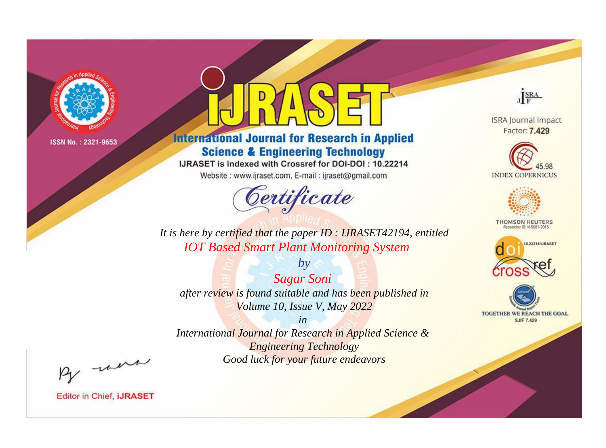

# **International Journal for Research in Applied Science & Engineering Technology**

IJRASET is indexed with Crossref for DOI-DOI: 10.22214

Website: www.ijraset.com, E-mail: ijraset@gmail.com



JERA

**ISRA Journal Impact** Factor: 7.429





**THOMSON REUTERS** 



TOGETHER WE REACH THE GOAL **SJIF 7.429** 

*It is here by certified that the paper ID : IJRASET42194, entitled IOT Based Smart Plant Monitoring System*

*Sagar Soni after review is found suitable and has been published in Volume 10, Issue V, May 2022*

*by*

*in* 

*International Journal for Research in Applied Science & Engineering Technology Good luck for your future endeavors*

By morn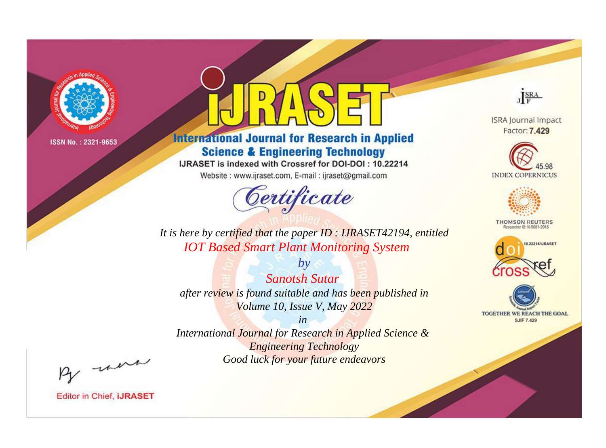

# **International Journal for Research in Applied Science & Engineering Technology**

IJRASET is indexed with Crossref for DOI-DOI: 10.22214

Website: www.ijraset.com, E-mail: ijraset@gmail.com



JERA

**ISRA Journal Impact** Factor: 7.429





**THOMSON REUTERS** 



TOGETHER WE REACH THE GOAL **SJIF 7.429** 

*It is here by certified that the paper ID : IJRASET42194, entitled IOT Based Smart Plant Monitoring System*

*by Sanotsh Sutar after review is found suitable and has been published in Volume 10, Issue V, May 2022*

*in* 

*International Journal for Research in Applied Science & Engineering Technology Good luck for your future endeavors*

By morn